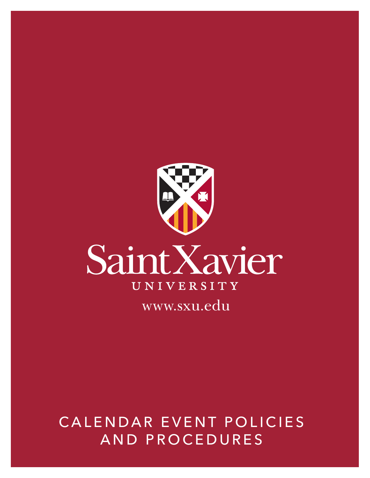

# CALENDAR EVENT POLICIES AND PROCEDURES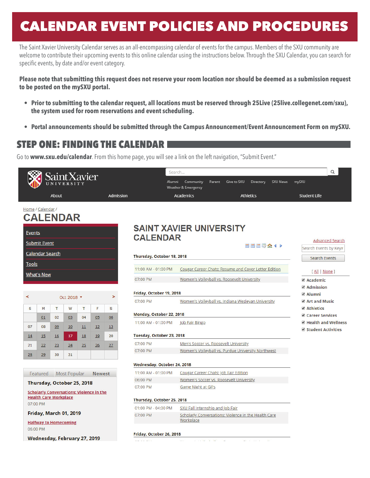# CALENDAR EVENT POLICIES AND PROCEDURES

The Saint Xavier University Calendar serves as an all-encompassing calendar of events for the campus. Members of the SXU community are welcome to contribute their upcoming events to this online calendar using the instructions below. Through the SXU Calendar, you can search for specific events, by date and/or event category.

**Please note that submitting this request does not reserve your room location nor should be deemed as a submission request to be posted on the mySXU portal.**

- **Prior to submitting to the calendar request, all locations must be reserved through 25Live (25live.collegenet.com/sxu), the system used for room reservations and event scheduling.**
- **Portal announcements should be submitted through the Campus Announcement/Event Announcement Form on mySXU.**

### STEP ONE: FINDING THE CALENDAR

Go to **www.sxu.edu/calendar**. From this home page, you will see a link on the left navigation, "Submit Event."

|                                                        |                     |                              | SaintXavier                  |           |                                                 |           | Search                                                                      |                                                                                  |        |             |                  |                 | Q                                           |
|--------------------------------------------------------|---------------------|------------------------------|------------------------------|-----------|-------------------------------------------------|-----------|-----------------------------------------------------------------------------|----------------------------------------------------------------------------------|--------|-------------|------------------|-----------------|---------------------------------------------|
|                                                        |                     |                              |                              |           |                                                 |           |                                                                             | Alumni<br>Community<br><b>Weather &amp; Emergency</b>                            | Parent | Give to SXU | Directory        | <b>SXU News</b> | mySXU                                       |
|                                                        |                     | About                        |                              |           |                                                 | Admission |                                                                             | <b>Academics</b>                                                                 |        |             | <b>Athletics</b> |                 | <b>Student Life</b>                         |
| Home / Calendar /                                      |                     |                              | <b>CALENDAR</b>              |           |                                                 |           |                                                                             |                                                                                  |        |             |                  |                 |                                             |
| <b>SAINT XAVIER UNIVERSITY</b><br><u>Events</u>        |                     |                              |                              |           |                                                 |           |                                                                             |                                                                                  |        |             |                  |                 |                                             |
|                                                        | <b>Submit Event</b> |                              |                              |           |                                                 |           | <b>CALENDAR</b>                                                             |                                                                                  |        |             |                  |                 | <b>Advanced Search</b>                      |
|                                                        |                     |                              |                              |           |                                                 |           |                                                                             |                                                                                  |        |             | ■■■■金◆▶          |                 | Search Events by Keyv                       |
| <b>Calendar Search</b>                                 |                     |                              |                              |           |                                                 |           | Thursday, October 18, 2018                                                  |                                                                                  |        |             |                  |                 | Search Events                               |
| <b>Tools</b>                                           |                     |                              |                              |           |                                                 |           | Cougar Career Chats: Resume and Cover Letter Edition<br>11:00 AM - 01:00 PM |                                                                                  |        |             |                  |                 |                                             |
| <b>What's New</b>                                      |                     |                              |                              |           |                                                 |           | 07:00 PM                                                                    | Women's Volleyball vs. Roosevelt University                                      |        |             |                  |                 | [All   None]                                |
|                                                        |                     |                              |                              |           |                                                 |           |                                                                             |                                                                                  |        |             |                  |                 | ✔ Academic<br>✔ Admission                   |
|                                                        |                     |                              |                              |           |                                                 |           | Friday, October 19, 2018                                                    |                                                                                  |        |             |                  |                 | <b>Ø</b> Alumni                             |
| $\prec$                                                |                     | Oct 2018 <b>v</b>            |                              |           |                                                 | $\geq$    | 07:00 PM                                                                    | Women's Volleyball vs. Indiana Wesleyan University                               |        |             |                  |                 | Art and Music                               |
| s                                                      | M                   | T                            | W                            | T         | F                                               | S.        |                                                                             |                                                                                  |        |             |                  |                 | ✔ Athletics                                 |
|                                                        | 01                  | 02                           | 03                           | 04        | 05                                              | 06        | Monday, October 22, 2018                                                    |                                                                                  |        |             |                  |                 | Career Services                             |
| 07                                                     | 08                  | 09                           | 10                           | 11        | 12                                              | 13        | 11:00 AM - 01:00 PM                                                         | Job Fair Bingo                                                                   |        |             |                  |                 | Health and Wellness<br>✔ Student Activities |
| 14                                                     | 15                  | 16                           | 17                           | <b>18</b> | 19                                              | 20        |                                                                             | Tuesday, October 23, 2018                                                        |        |             |                  |                 |                                             |
| 21                                                     | 22                  | 23                           | 24                           | 25        | $\overline{26}$                                 | 27        | 07:00 PM                                                                    | Men's Soccer vs. Roosevelt University                                            |        |             |                  |                 |                                             |
| 28                                                     | 29                  | 30                           | 31                           |           |                                                 |           | 07:00 PM                                                                    | Women's Volleyball vs. Purdue University Northwest                               |        |             |                  |                 |                                             |
|                                                        |                     |                              |                              |           |                                                 |           | Wednesday, October 24, 2018                                                 |                                                                                  |        |             |                  |                 |                                             |
|                                                        |                     |                              |                              |           |                                                 |           | 11:00 AM - 01:00 PM                                                         |                                                                                  |        |             |                  |                 |                                             |
| <b>Most Popular</b><br>Featured<br><b>Newest</b>       |                     |                              |                              |           |                                                 |           | 06:00 PM                                                                    | Cougar Career Chats: Job Fair Edition<br>Women's Soccer vs. Roosevelt University |        |             |                  |                 |                                             |
| Thursday, October 25, 2018                             |                     |                              |                              |           |                                                 |           | 07:00 PM                                                                    | Game Night at Gil's                                                              |        |             |                  |                 |                                             |
|                                                        |                     |                              |                              |           | <b>Scholarly Conversations: Violence in the</b> |           |                                                                             |                                                                                  |        |             |                  |                 |                                             |
|                                                        |                     | <b>Health Care Workplace</b> |                              |           |                                                 |           | Thursday, October 25, 2018                                                  |                                                                                  |        |             |                  |                 |                                             |
| 07:00 PM                                               |                     |                              |                              |           |                                                 |           | 01:00 PM - 04:00 PM                                                         | SXU Fall Internship and Job Fair                                                 |        |             |                  |                 |                                             |
| Friday, March 01, 2019<br><b>Halfway to Homecoming</b> |                     |                              |                              |           |                                                 |           | 07:00 PM                                                                    | Scholarly Conversations: Violence in the Health Care<br>Workplace                |        |             |                  |                 |                                             |
| 06:00 PM                                               |                     |                              |                              |           |                                                 |           | Friday, October 26, 2018                                                    |                                                                                  |        |             |                  |                 |                                             |
|                                                        |                     |                              | Wednesday, February 27, 2019 |           |                                                 |           |                                                                             | and a strike and the state                                                       |        |             | .                | n.              |                                             |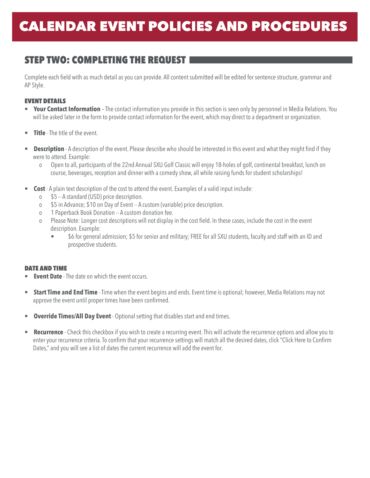## STEP TWO: COMPLETING THE REQUEST

Complete each field with as much detail as you can provide. All content submitted will be edited for sentence structure, grammar and AP Style.

#### EVENT DETAILS

- **Your Contact Information** The contact information you provide in this section is seen only by personnel in Media Relations. You will be asked later in the form to provide contact information for the event, which may direct to a department or organization.
- **Title** The title of the event.
- **Description** A description of the event. Please describe who should be interested in this event and what they might find if they were to attend. Example:
	- o Open to all, participants of the 22nd Annual SXU Golf Classic will enjoy 18-holes of golf, continental breakfast, lunch on course, beverages, reception and dinner with a comedy show, all while raising funds for student scholarships!
- **Cost** A plain text description of the cost to attend the event. Examples of a valid input include:
	- o \$5 -- A standard (USD) price description.
	- o \$5 in Advance; \$10 on Day of Event -- A custom (variable) price description.
	- o 1 Paperback Book Donation -- A custom donation fee.
	- o Please Note: Longer cost descriptions will not display in the cost field. In these cases, include the cost in the event description. Example:
		- \$6 for general admission; \$5 for senior and military; FREE for all SXU students, faculty and staff with an ID and prospective students.

#### DATE AND TIME

- **Event Date** The date on which the event occurs.
- **Start Time and End Time** Time when the event begins and ends. Event time is optional; however, Media Relations may not approve the event until proper times have been confirmed.
- **Override Times/All Day Event** Optional setting that disables start and end times.
- **Recurrence** Check this checkbox if you wish to create a recurring event. This will activate the recurrence options and allow you to enter your recurrence criteria. To confirm that your recurrence settings will match all the desired dates, click "Click Here to Confirm Dates," and you will see a list of dates the current recurrence will add the event for.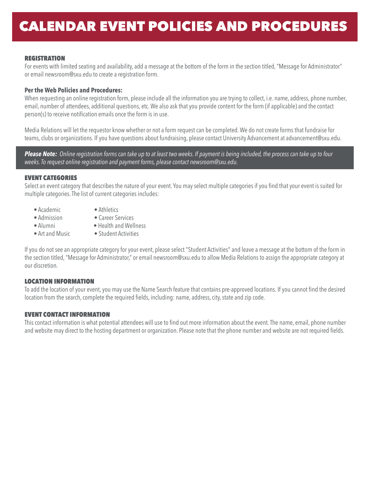#### **REGISTRATION**

For events with limited seating and availability, add a message at the bottom of the form in the section titled, "Message for Administrator" or email newsroom@sxu.edu to create a registration form.

#### **Per the Web Policies and Procedures:**

When requesting an online registration form, please include all the information you are trying to collect, i.e. name, address, phone number, email, number of attendees, additional questions, etc. We also ask that you provide content for the form (if applicable) and the contact person(s) to receive notification emails once the form is in use.

Media Relations will let the requestor know whether or not a form request can be completed. We do not create forms that fundraise for teams, clubs or organizations. If you have questions about fundraising, please contact University Advancement at advancement@sxu.edu.

*Please Note: Online registration forms can take up to at least two weeks. If payment is being included, the process can take up to four weeks. To request online registration and payment forms, please contact newsroom@sxu.edu.*

#### EVENT CATEGORIES

Select an event category that describes the nature of your event. You may select multiple categories if you find that your event is suited for multiple categories. The list of current categories includes:

- Academic • Admission
- Athletics
- Career Services
- Alumni
- Art and Music
- Health and Wellness
- Student Activities

If you do not see an appropriate category for your event, please select "Student Activities" and leave a message at the bottom of the form in the section titled, "Message for Administrator," or email newsroom@sxu.edu to allow Media Relations to assign the appropriate category at our discretion.

#### LOCATION INFORMATION

To add the location of your event, you may use the Name Search feature that contains pre-approved locations. If you cannot find the desired location from the search, complete the required fields, including: name, address, city, state and zip code.

#### EVENT CONTACT INFORMATION

This contact information is what potential attendees will use to find out more information about the event. The name, email, phone number and website may direct to the hosting department or organization. Please note that the phone number and website are not required fields.